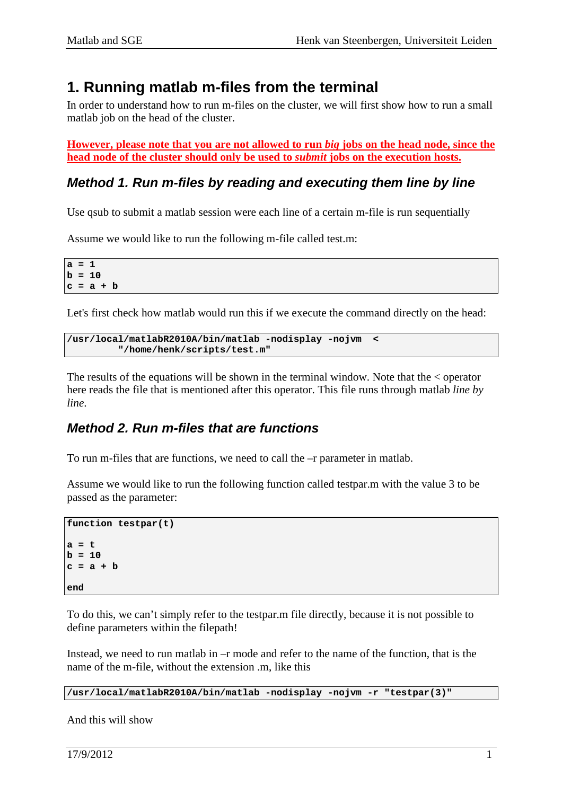## **1. Running matlab m-files from the terminal**

In order to understand how to run m-files on the cluster, we will first show how to run a small matlab job on the head of the cluster.

**However, please note that you are not allowed to run** *big* **jobs on the head node, since the head node of the cluster should only be used to** *submit* **jobs on the execution hosts.**

### **Method 1. Run m-files by reading and executing them line by line**

Use qsub to submit a matlab session were each line of a certain m-file is run sequentially

Assume we would like to run the following m-file called test.m:

**a = 1**   $b = 10$ **c = a + b** 

Let's first check how matlab would run this if we execute the command directly on the head:

```
/usr/local/matlabR2010A/bin/matlab -nodisplay -nojvm < 
         "/home/henk/scripts/test.m"
```
The results of the equations will be shown in the terminal window. Note that the < operator here reads the file that is mentioned after this operator. This file runs through matlab *line by line*.

### **Method 2. Run m-files that are functions**

To run m-files that are functions, we need to call the –r parameter in matlab.

Assume we would like to run the following function called testpar.m with the value 3 to be passed as the parameter:

```
function testpar(t) 
a = t 
b = 10 
c = a + b 
end
```
To do this, we can't simply refer to the testpar.m file directly, because it is not possible to define parameters within the filepath!

Instead, we need to run matlab in –r mode and refer to the name of the function, that is the name of the m-file, without the extension .m, like this

**/usr/local/matlabR2010A/bin/matlab -nodisplay -nojvm -r "testpar(3)"** 

And this will show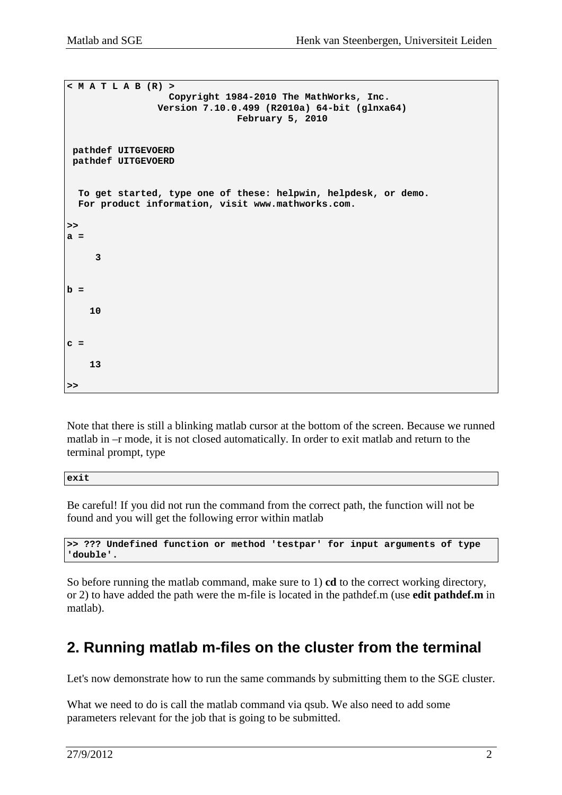```
< M A T L A B (R) > 
                     Copyright 1984-2010 The MathWorks, Inc. 
                   Version 7.10.0.499 (R2010a) 64-bit (glnxa64) 
                                  February 5, 2010 
  pathdef UITGEVOERD 
  pathdef UITGEVOERD 
   To get started, type one of these: helpwin, helpdesk, or demo. 
   For product information, visit www.mathworks.com.
>> 
a = 
      3 
b = 
     10 
c = 
     13 
>>
```
Note that there is still a blinking matlab cursor at the bottom of the screen. Because we runned matlab in –r mode, it is not closed automatically. In order to exit matlab and return to the terminal prompt, type

**exit** 

Be careful! If you did not run the command from the correct path, the function will not be found and you will get the following error within matlab

```
>> ??? Undefined function or method 'testpar' for input arguments of type 
'double'.
```
So before running the matlab command, make sure to 1) **cd** to the correct working directory, or 2) to have added the path were the m-file is located in the pathdef.m (use **edit pathdef.m** in matlab).

# **2. Running matlab m-files on the cluster from the terminal**

Let's now demonstrate how to run the same commands by submitting them to the SGE cluster.

What we need to do is call the matlab command via qsub. We also need to add some parameters relevant for the job that is going to be submitted.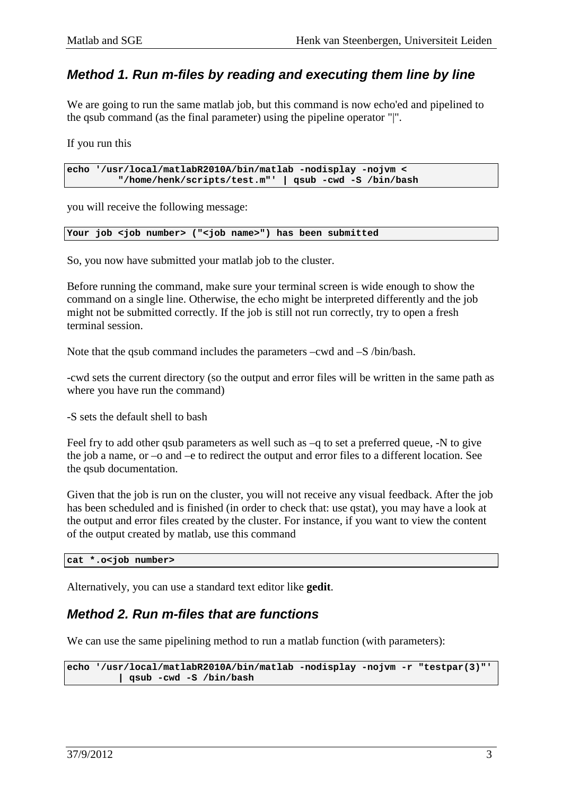### **Method 1. Run m-files by reading and executing them line by line**

We are going to run the same matlab job, but this command is now echo'ed and pipelined to the qsub command (as the final parameter) using the pipeline operator "|".

If you run this

**echo '/usr/local/matlabR2010A/bin/matlab -nodisplay -nojvm < "/home/henk/scripts/test.m"' | qsub -cwd -S /bin/bash** 

you will receive the following message:

**Your job <job number> ("<job name>") has been submitted** 

So, you now have submitted your matlab job to the cluster.

Before running the command, make sure your terminal screen is wide enough to show the command on a single line. Otherwise, the echo might be interpreted differently and the job might not be submitted correctly. If the job is still not run correctly, try to open a fresh terminal session.

Note that the qsub command includes the parameters –cwd and –S /bin/bash.

-cwd sets the current directory (so the output and error files will be written in the same path as where you have run the command)

-S sets the default shell to bash

Feel fry to add other qsub parameters as well such as –q to set a preferred queue, -N to give the job a name, or –o and –e to redirect the output and error files to a different location. See the qsub documentation.

Given that the job is run on the cluster, you will not receive any visual feedback. After the job has been scheduled and is finished (in order to check that: use qstat), you may have a look at the output and error files created by the cluster. For instance, if you want to view the content of the output created by matlab, use this command

**cat \*.o<job number>** 

Alternatively, you can use a standard text editor like **gedit**.

#### **Method 2. Run m-files that are functions**

We can use the same pipelining method to run a matlab function (with parameters):

```
echo '/usr/local/matlabR2010A/bin/matlab -nodisplay -nojvm -r "testpar(3)"' 
         | qsub -cwd -S /bin/bash
```